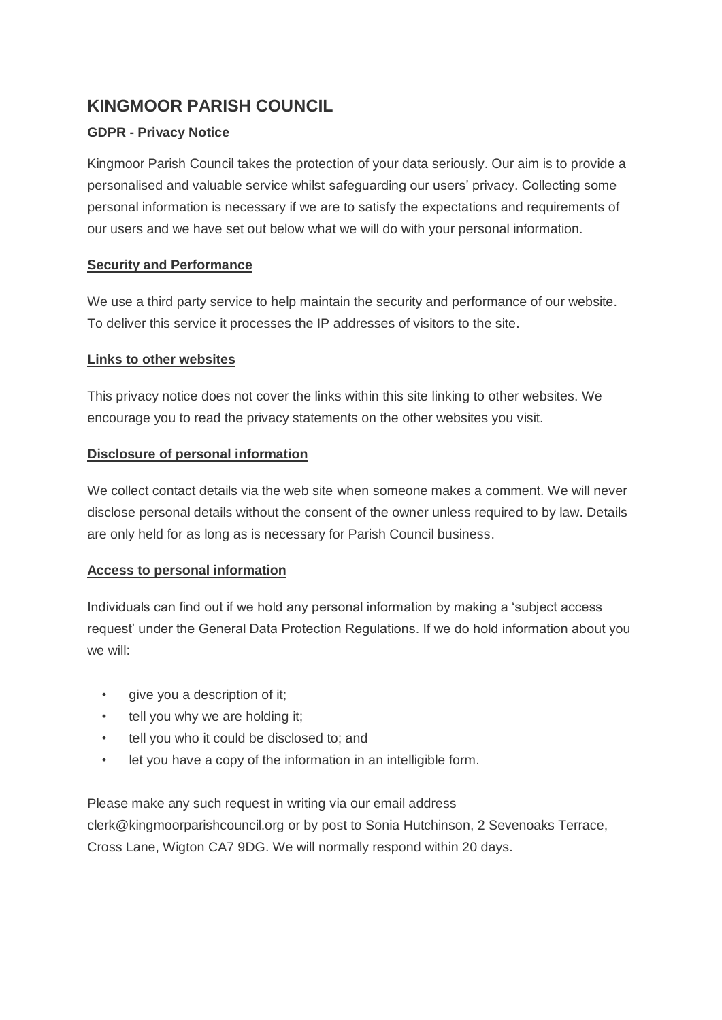# **KINGMOOR PARISH COUNCIL**

## **GDPR - Privacy Notice**

Kingmoor Parish Council takes the protection of your data seriously. Our aim is to provide a personalised and valuable service whilst safeguarding our users' privacy. Collecting some personal information is necessary if we are to satisfy the expectations and requirements of our users and we have set out below what we will do with your personal information.

## **Security and Performance**

We use a third party service to help maintain the security and performance of our website. To deliver this service it processes the IP addresses of visitors to the site.

#### **Links to other websites**

This privacy notice does not cover the links within this site linking to other websites. We encourage you to read the privacy statements on the other websites you visit.

## **Disclosure of personal information**

We collect contact details via the web site when someone makes a comment. We will never disclose personal details without the consent of the owner unless required to by law. Details are only held for as long as is necessary for Parish Council business.

## **Access to personal information**

Individuals can find out if we hold any personal information by making a 'subject access request' under the General Data Protection Regulations. If we do hold information about you we will:

- give you a description of it;
- tell you why we are holding it;
- tell you who it could be disclosed to; and
- let you have a copy of the information in an intelligible form.

Please make any such request in writing via our email address clerk@kingmoorparishcouncil.org or by post to Sonia Hutchinson, 2 Sevenoaks Terrace, Cross Lane, Wigton CA7 9DG. We will normally respond within 20 days.